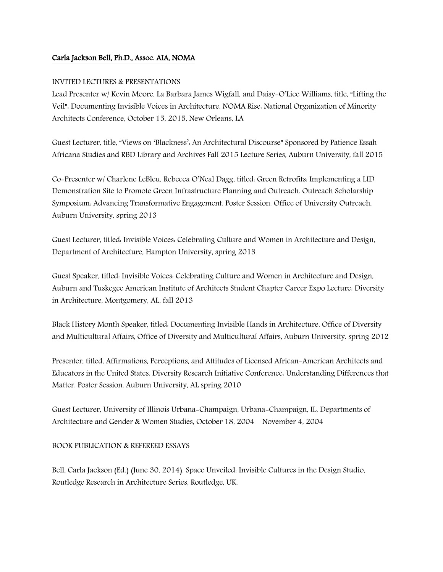## Carla Jackson Bell, Ph.D., Assoc. AIA, NOMA

## INVITED LECTURES & PRESENTATIONS

Lead Presenter w/ Kevin Moore, La Barbara James Wigfall, and Daisy-O'Lice Williams, title, "Lifting the Veil": Documenting Invisible Voices in Architecture. NOMA Rise: National Organization of Minority Architects Conference, October 15, 2015, New Orleans, LA

Guest Lecturer, title, "Views on 'Blackness': An Architectural Discourse" Sponsored by Patience Essah Africana Studies and RBD Library and Archives Fall 2015 Lecture Series, Auburn University, fall 2015

Co-Presenter w/ Charlene LeBleu, Rebecca O'Neal Dagg, titled: Green Retrofits: Implementing a LID Demonstration Site to Promote Green Infrastructure Planning and Outreach. Outreach Scholarship Symposium: Advancing Transformative Engagement. Poster Session. Office of University Outreach, Auburn University, spring 2013

Guest Lecturer, titled: Invisible Voices: Celebrating Culture and Women in Architecture and Design, Department of Architecture, Hampton University, spring 2013

Guest Speaker, titled: Invisible Voices: Celebrating Culture and Women in Architecture and Design, Auburn and Tuskegee American Institute of Architects Student Chapter Career Expo Lecture: Diversity in Architecture, Montgomery, AL, fall 2013

Black History Month Speaker, titled: Documenting Invisible Hands in Architecture, Office of Diversity and Multicultural Affairs, Office of Diversity and Multicultural Affairs, Auburn University. spring 2012

Presenter, titled, Affirmations, Perceptions, and Attitudes of Licensed African-American Architects and Educators in the United States. Diversity Research Initiative Conference: Understanding Differences that Matter. Poster Session. Auburn University, AL spring 2010

Guest Lecturer, University of Illinois Urbana-Champaign, Urbana-Champaign, IL, Departments of Architecture and Gender & Women Studies, October 18, 2004 – November 4, 2004

## BOOK PUBLICATION & REFEREED ESSAYS

Bell, Carla Jackson (Ed.) (June 30, 2014). Space Unveiled: Invisible Cultures in the Design Studio, Routledge Research in Architecture Series, Routledge, UK.